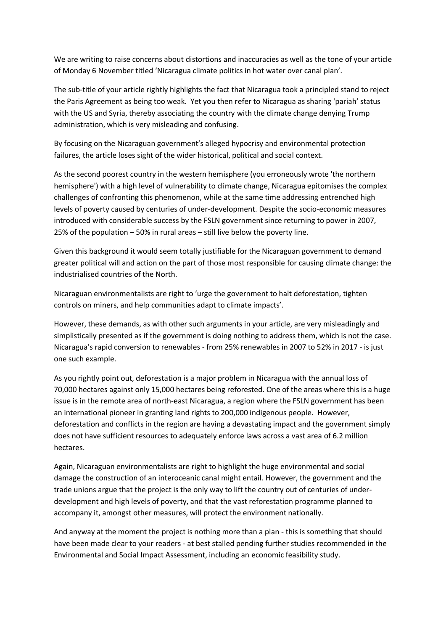We are writing to raise concerns about distortions and inaccuracies as well as the tone of your article of Monday 6 November titled 'Nicaragua climate politics in hot water over canal plan'.

The sub-title of your article rightly highlights the fact that Nicaragua took a principled stand to reject the Paris Agreement as being too weak. Yet you then refer to Nicaragua as sharing 'pariah' status with the US and Syria, thereby associating the country with the climate change denying Trump administration, which is very misleading and confusing.

By focusing on the Nicaraguan government's alleged hypocrisy and environmental protection failures, the article loses sight of the wider historical, political and social context.

As the second poorest country in the western hemisphere (you erroneously wrote 'the northern hemisphere') with a high level of vulnerability to climate change, Nicaragua epitomises the complex challenges of confronting this phenomenon, while at the same time addressing entrenched high levels of poverty caused by centuries of under-development. Despite the socio-economic measures introduced with considerable success by the FSLN government since returning to power in 2007, 25% of the population – 50% in rural areas – still live below the poverty line.

Given this background it would seem totally justifiable for the Nicaraguan government to demand greater political will and action on the part of those most responsible for causing climate change: the industrialised countries of the North.

Nicaraguan environmentalists are right to 'urge the government to halt deforestation, tighten controls on miners, and help communities adapt to climate impacts'.

However, these demands, as with other such arguments in your article, are very misleadingly and simplistically presented as if the government is doing nothing to address them, which is not the case. Nicaragua's rapid conversion to renewables - from 25% renewables in 2007 to 52% in 2017 - is just one such example.

As you rightly point out, deforestation is a major problem in Nicaragua with the annual loss of 70,000 hectares against only 15,000 hectares being reforested. One of the areas where this is a huge issue is in the remote area of north-east Nicaragua, a region where the FSLN government has been an international pioneer in granting land rights to 200,000 indigenous people. However, deforestation and conflicts in the region are having a devastating impact and the government simply does not have sufficient resources to adequately enforce laws across a vast area of 6.2 million hectares.

Again, Nicaraguan environmentalists are right to highlight the huge environmental and social damage the construction of an interoceanic canal might entail. However, the government and the trade unions argue that the project is the only way to lift the country out of centuries of underdevelopment and high levels of poverty, and that the vast reforestation programme planned to accompany it, amongst other measures, will protect the environment nationally.

And anyway at the moment the project is nothing more than a plan - this is something that should have been made clear to your readers - at best stalled pending further studies recommended in the Environmental and Social Impact Assessment, including an economic feasibility study.